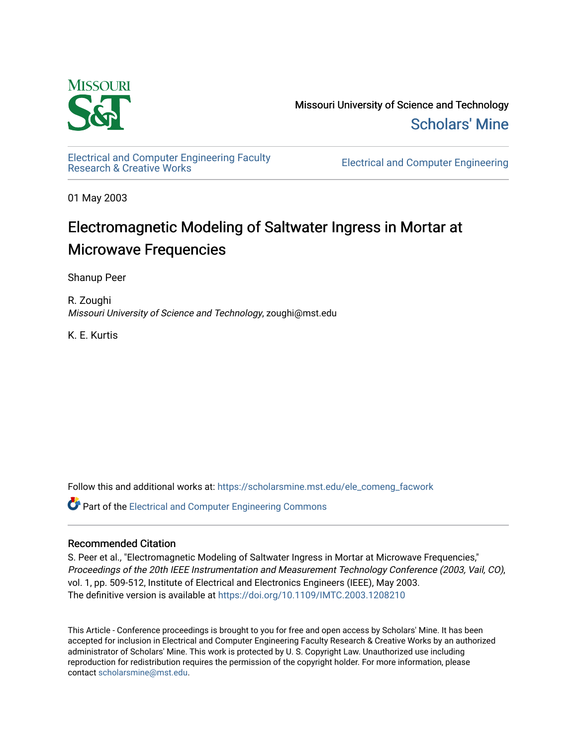

Missouri University of Science and Technology [Scholars' Mine](https://scholarsmine.mst.edu/) 

[Electrical and Computer Engineering Faculty](https://scholarsmine.mst.edu/ele_comeng_facwork)

**Electrical and Computer Engineering** 

01 May 2003

# Electromagnetic Modeling of Saltwater Ingress in Mortar at **Microwave Frequencies**

Shanup Peer

R. Zoughi Missouri University of Science and Technology, zoughi@mst.edu

K. E. Kurtis

Follow this and additional works at: [https://scholarsmine.mst.edu/ele\\_comeng\\_facwork](https://scholarsmine.mst.edu/ele_comeng_facwork?utm_source=scholarsmine.mst.edu%2Fele_comeng_facwork%2F1581&utm_medium=PDF&utm_campaign=PDFCoverPages)

**C** Part of the Electrical and Computer Engineering Commons

# Recommended Citation

S. Peer et al., "Electromagnetic Modeling of Saltwater Ingress in Mortar at Microwave Frequencies," Proceedings of the 20th IEEE Instrumentation and Measurement Technology Conference (2003, Vail, CO), vol. 1, pp. 509-512, Institute of Electrical and Electronics Engineers (IEEE), May 2003. The definitive version is available at <https://doi.org/10.1109/IMTC.2003.1208210>

This Article - Conference proceedings is brought to you for free and open access by Scholars' Mine. It has been accepted for inclusion in Electrical and Computer Engineering Faculty Research & Creative Works by an authorized administrator of Scholars' Mine. This work is protected by U. S. Copyright Law. Unauthorized use including reproduction for redistribution requires the permission of the copyright holder. For more information, please contact [scholarsmine@mst.edu](mailto:scholarsmine@mst.edu).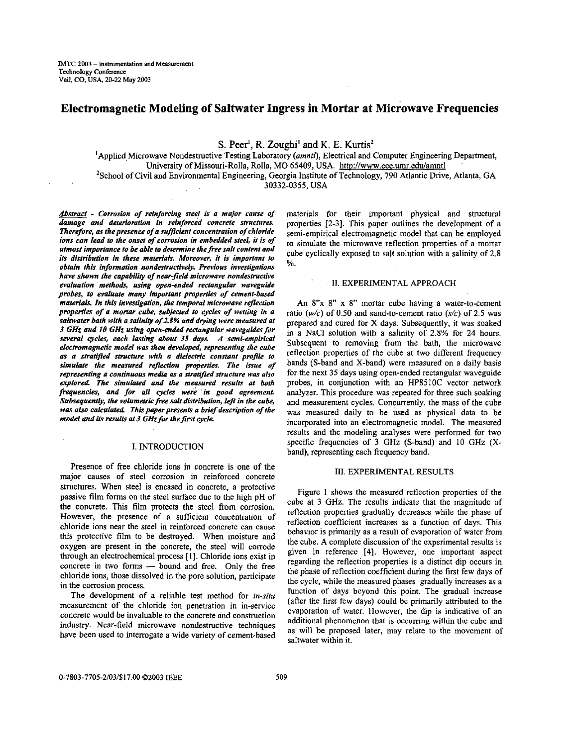# **Electromagnetic Modeling of Saltwater Ingress in Mortar at Microwave Frequencies**

 $S$ . **Peer<sup>1</sup>**, **R.** Zoughi<sup>1</sup> and **K**. **E. Kurtis**<sup>2</sup>

<sup>1</sup>Applied Microwave Nondestructive Testing Laboratory (amntl), Electrical and Computer Engineering Department, University of Missouri-Rolla, Rolla, MO 65409, USA. **[http://www.ece.umr.edu/amnt](http://www.ece.umr.edu/amntl)l**  2School of Civil and Environmental Engineering, Georgia Institute of Technology, 790 Atlantic Drive, Atlanta, GA

30332-0355, USA

*Absrrafr* - *Corrosion of reinforcing steel is a major cause of damage and deterioration in reinforced concrete structures. Therefore, as the presence of a suficient concentration of chloride ions can lead to the onset of corrosion in embedded steel, it is of utmost importance to be able to determine thefree salt content and its distribution in these materials. Moreover, it is important to obtain this information nondestructively. Previous investigations* have shown the capability of near-field microwave nondestructive *evaluation methob, using open-ended rectangular woveguide probes, to evaluate many important properlies of cement-based materials. In this invedigation, the temporal microwave reflection properties of a mortar cube, subjected to cycles of wetting in a saltwater bath with a salini@ of 2.8% and drying were measured at 3 GHz and 10 GHz using open-ended rectangular waveguides for several cycles, each lasting about* **35** *days, A semi-empirical electromagnetic model was then devehped, representing the cube*  **as** *a stratijied structure with a dielectric constant profile to simulate the measured reflection properlies The issue of representing II continuous media as a stratified structure was also explored The simulated and the measured results at both frequencies, and for all cycles were in good agreement Subsequently, the volumetric free salt distribution, left in the cube, was also calculated This paperpresents a brief description of the model and its results at 3 GHz for the first cycle.* 

# I. INTRODUCTION

Presence of free chloride ions in concrete is one of the major causes of steel corrosion in reinforced concrete structures. When steel is encased in concrete, a protective passive film forms on the steel surface due to the high pH of the concrete. This film protects the steel from corrosion. However, the presence of a sufficient concentration of chloride ions near the steel in reinforced concrete can cause this protective film to be destroyed. When moisture and oxygen are present in the concrete, the steel will corrode through an electrochemical process **[l].** Chloride ions exist in concrete in two forms - bound and free. Only the free chloride ions, those dissolved in the pore solution, participate in the corrosion process.

The development of a reliable test method for *in-situ*  measurement of the chloride ion penetration in in-service concrete would be invaluable to the concrete and construction industry. Near-field microwave nondestructive techniques have been used to interrogate a wide variety of cement-based materials for their important physical and structural properties [2-31. This paper outlines the development of a semi-empirical electromagnetic model that can be employed to simulate the microwave reflection properties of a mortar cube cyclically exposed to salt solution with a salinity of 2.8  $\%$  .

#### **11.** EXPERIMENTAL APPROACH

An 8"x 8" **x** 8" mortar cube having a water-to-cement ratio *(w/c)* of 0.50 and sand-to-cement ratio **(s/c)** of *2.5* was prepared and cured for X days. Subsequently, it was soaked in a NaCl solution with a salinity of 2.8% for 24 hours. Subsequent to removing from the bath, the microwave reflection properties of the cube at two different frequency bands (S-band and X-band) were measured on a daily basis for the next **35** days using open-ended rectangular waveguide probes, in conjunction with an HP85IOC vector network **analyzer.** This procedure was repeated for three such soaking and measurement cycles. Concurrently, the mass of the cube was measured daily to be used as physical data to be incorporated into an electromagnetic model. The measured results and the modeling analyses were performed for two specific frequencies of **3** GHz (S-band) and 10 **GHz** (Xband), representing each frequency band.

## **111.** EXPERIMENTAL RESULTS

[Figure](#page-2-0) 1 shows the measured reflection properties of the cube at 3 **GHz.** The results indicate that the magnitude of reflection properties gradually decreases while the phase of reflection coefficient increases as a function of days. This behavior is primarily as a result of evaporation *of* water from the cube. A complete discussion of the experimental results is given in reference [4]. However, one important aspect regarding the reflection properties is a distinct dip occurs in the phase of reflection coefficient during the first few days of the cycle, while the measured phases gradually increases **as** a function of days beyond this point. The gradual increase (after the first few days) could be primarily attributed to the evaporation of water. However, the dip is indicative of an additional phenomenon that is occurring within the cube and as will be proposed later, may relate to the movement **of**  saltwater within it.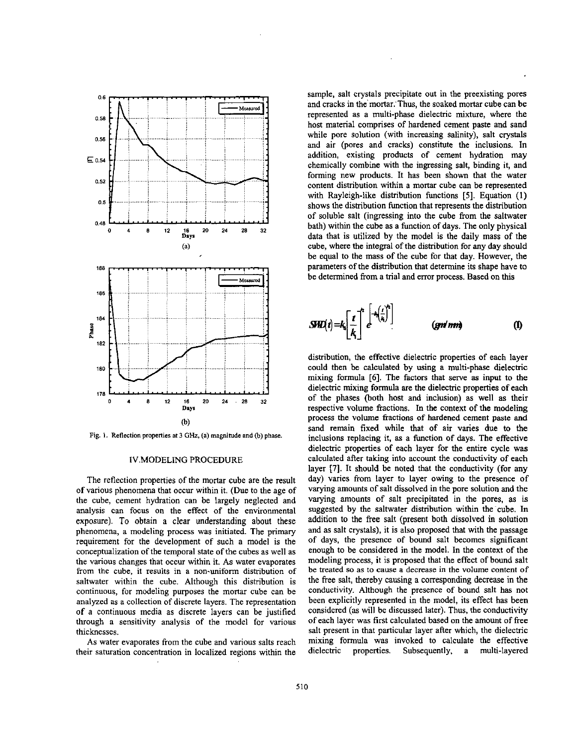<span id="page-2-0"></span>

**Fig. 1.** Reflection **propenies** at **4** *GHz,* **(a) magnitude and** (b) **phase.** 

#### 1V.MODELING PROCEDURE

The reflection properties of the mortar cube are the result of various phenomena that occur within it. (Due to the age of the cube, cement hydration can be largely neglected and analysis can focus on the effect of the environmental exposure). To obtain a clear understanding about these phenomena, a modeling process was initiated. The primary requirement for the development of such a model is the conceptualization of the temporal state of the cubes as well as the various changes that occur within it. As water evaporates **from** the cube, it results in a non-uniform distribution of saltwater within the cube. Although this distribution is continuous, for modeling purposes the mortar cube can be analyzed as a collection of discrete layers. The representation **of** a continuous media as discrete layers can be justified through a sensitivity analysis of the model for various thicknesses.

As water evaporates from the cube and various salts reach their saturation concentration in localized regions within the sample, salt crystals precipitate out in the preexisting pores and cracks in the mortar. Thus, the soaked mortar cube can be represented as a multi-phase dielectric mixture, where the host material comprises of hardened cement paste and sand while pore solution (with increasing salinity), salt crystals and air (pores and cracks) constitute the inclusions. In addition, existing products of cement hydration may chemically combine with the ingressing salt, binding it, and forming new products. It has been shown that the water content distribution within a mortar cube can be represented with Rayleigh-like distribution functions *[5].* Equation (1) shows the distribution function that represents the distribution of soluble salt (ingressing into the cube from the saltwater bath) within the cube as a function of days. The only physical data that is utilized by the model **is** the daily mass of the cube, where the integral of the distribution for any day should be equal to the mass **of** the cube for that day. However, the parameters of the distribution that determine its shape have to be determined from a trial and error process. Based on this

$$
SH2(i) = k_i \left[ \frac{i}{k_i} \right]^n e^{-k_i \left( \frac{i}{k_i} \right)^n}
$$
 (gnd nm) (1)

distribution, the effective dielectric properties of each layer could then be calculated by using a multi-phase dielectric mixing formula **[6].** The factors that serve **as** input to the dielectric mixing formula are the dielectric properties **of** each of the phases (both host and inclusion) as well as their respective volume fractions. In the context **of** the modeling process the volume fractions of hardened cement paste and sand remain fixed while that of air varies due to the inclusions replacing it, **as** a function of days. The effective dielectric properties of each layer for the entire cycle was calculated after taking into account the conductivity of each layer **[7].** It should be noted that the conductivity **(for** any day) varies from layer to layer owing to the presence of varying amounts of salt dissolved in the pore solution and the varying amounts **of** salt precipitated in the pores, as is suggested by the saltwater distribution within the cube. **In**  addition to the free salt (present both dissolved in solution and as salt crystals), it is also proposed that with the passage of days, the presence of bound salt becomes significant enough to be considered in the model. **In** the context of the modeling process, **it** is proposed that the effect of bound salt be treated *so* as to cause a decrease in the volume content *of*  the free salt, thereby causing a corresponding decrease in the conductivity. Although the presence of bound salt has not been explicitly represented in the model, its effect has been considered **(as** will be discussed later). Thus, the conductivity of each layer was first calculated based **on** the amount of free salt present in that particular layer after which, the dielectric mixing formula was invoked to calculate the effective dielectric properties. Subsequently, a multi-layered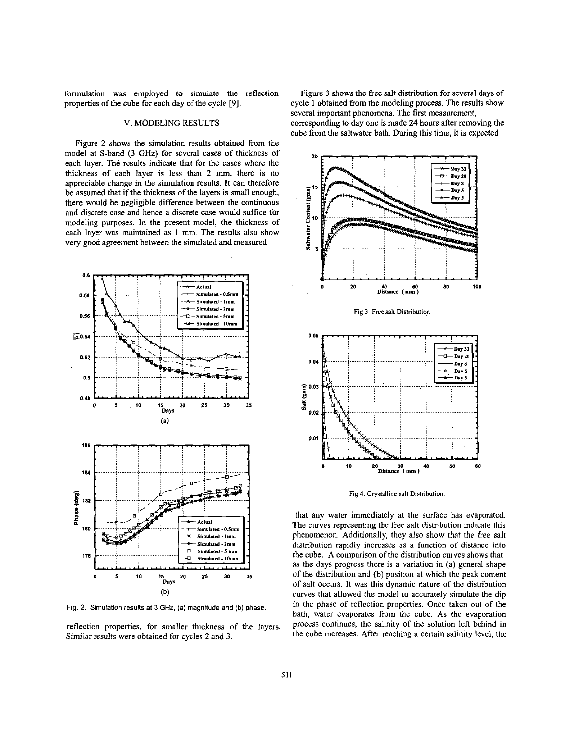formulation was employed to simulate the reflection properties of the cube for each day of the cycle **[9].** 

# V. **MODELING** RESULTS

Figure **2** shows the simulation results obtained from the model at S-band **(3** GHz) for several cases of thickness of each layer. The results indicate that for the cases where the thickness of each layer is less than **2** nun, there **is** no appreciable change in tbe simulation results. It can therefore be assumed that if the thickness of the layers **is** small enough, there would be negligible difference between the continuous and discrete case and hence a discrete case would suffice for modeling purposes. In the present model, the thickness of each layer was maintained as 1 mm. The results also show very good agreement between the simulated and measured



Fig. **2.** Simulation results at 3 **GHz.** (a) magnitude and **(b)** phase.

reflection properties, for smaller thickness of the layers. Similar **results** were obtained for cycles **2** and **3.** 

Figure **3** shows the free salt distribution for several days of cycle 1 obtained from the modeling process. The results show several important phenomena. The **first** measurement, corresponding to day one **is** made **24** hours afier removing the cube from the saltwater bath. During this time, it is expected



**Fig 4. Crystalline salt Distribution.** 

that any water immediately at the surface has evaporated. The curves representing the free salt distribution indicate this phenomenon. Additionally, they also show that the free salt distribution rapidly increases as a function of distance into the cube. **A** comparison of the distribution curves shows that as the days progress there **is** a variation in (a) general shape of the distribution and (b) position at which the peak content of salt occurs. It was this dynamic nature of the distribution curves that allowed the model to accurately simulate the dip in the phase of reflection properties. Once taken out of the bath, water evaporates from the cube. As the evaporation process continues, the salinity of the solution left behind in the cube increases. After reaching a certain salinity level, the